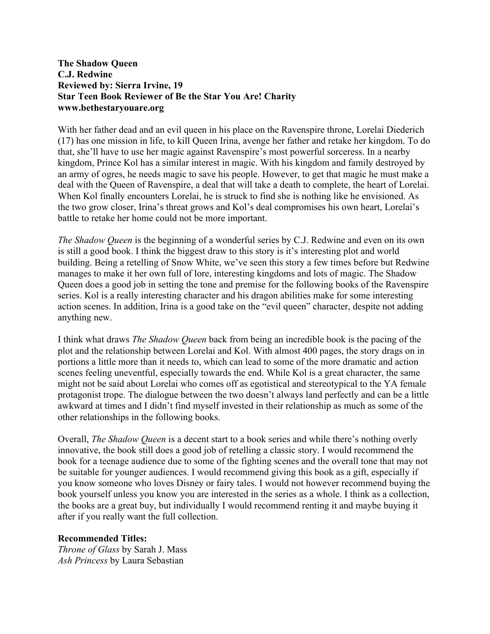## **The Shadow Queen C.J. Redwine Reviewed by: Sierra Irvine, 19 Star Teen Book Reviewer of Be the Star You Are! Charity www.bethestaryouare.org**

With her father dead and an evil queen in his place on the Ravenspire throne, Lorelai Diederich (17) has one mission in life, to kill Queen Irina, avenge her father and retake her kingdom. To do that, she'll have to use her magic against Ravenspire's most powerful sorceress. In a nearby kingdom, Prince Kol has a similar interest in magic. With his kingdom and family destroyed by an army of ogres, he needs magic to save his people. However, to get that magic he must make a deal with the Queen of Ravenspire, a deal that will take a death to complete, the heart of Lorelai. When Kol finally encounters Lorelai, he is struck to find she is nothing like he envisioned. As the two grow closer, Irina's threat grows and Kol's deal compromises his own heart, Lorelai's battle to retake her home could not be more important.

*The Shadow Queen* is the beginning of a wonderful series by C.J. Redwine and even on its own is still a good book. I think the biggest draw to this story is it's interesting plot and world building. Being a retelling of Snow White, we've seen this story a few times before but Redwine manages to make it her own full of lore, interesting kingdoms and lots of magic. The Shadow Queen does a good job in setting the tone and premise for the following books of the Ravenspire series. Kol is a really interesting character and his dragon abilities make for some interesting action scenes. In addition, Irina is a good take on the "evil queen" character, despite not adding anything new.

I think what draws *The Shadow Queen* back from being an incredible book is the pacing of the plot and the relationship between Lorelai and Kol. With almost 400 pages, the story drags on in portions a little more than it needs to, which can lead to some of the more dramatic and action scenes feeling uneventful, especially towards the end. While Kol is a great character, the same might not be said about Lorelai who comes off as egotistical and stereotypical to the YA female protagonist trope. The dialogue between the two doesn't always land perfectly and can be a little awkward at times and I didn't find myself invested in their relationship as much as some of the other relationships in the following books.

Overall, *The Shadow Queen* is a decent start to a book series and while there's nothing overly innovative, the book still does a good job of retelling a classic story. I would recommend the book for a teenage audience due to some of the fighting scenes and the overall tone that may not be suitable for younger audiences. I would recommend giving this book as a gift, especially if you know someone who loves Disney or fairy tales. I would not however recommend buying the book yourself unless you know you are interested in the series as a whole. I think as a collection, the books are a great buy, but individually I would recommend renting it and maybe buying it after if you really want the full collection.

## **Recommended Titles:**

*Throne of Glass* by Sarah J. Mass *Ash Princess* by Laura Sebastian